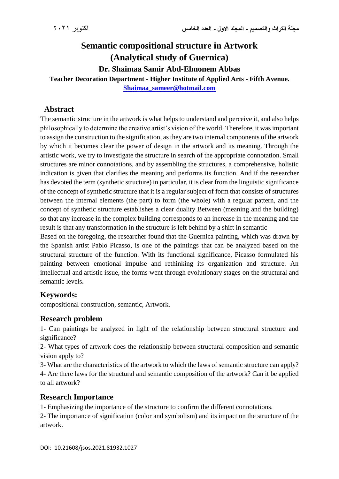# **Semantic compositional structure in Artwork (Analytical study of Guernica) Dr. Shaimaa Samir Abd-Elmonem Abbas Teacher Decoration Department - Higher Institute of Applied Arts - Fifth Avenue.**

**[Shaimaa\\_sameer@hotmail.com](mailto:Shaimaa_sameer@hotmail.com)**

### **Abstract**

The semantic structure in the artwork is what helps to understand and perceive it, and also helps philosophically to determine the creative artist's vision of the world. Therefore, it was important to assign the construction to the signification, as they are two internal components of the artwork by which it becomes clear the power of design in the artwork and its meaning. Through the artistic work, we try to investigate the structure in search of the appropriate connotation. Small structures are minor connotations, and by assembling the structures, a comprehensive, holistic indication is given that clarifies the meaning and performs its function. And if the researcher has devoted the term (synthetic structure) in particular, it is clear from the linguistic significance of the concept of synthetic structure that it is a regular subject of form that consists of structures between the internal elements (the part) to form (the whole) with a regular pattern, and the concept of synthetic structure establishes a clear duality Between (meaning and the building) so that any increase in the complex building corresponds to an increase in the meaning and the result is that any transformation in the structure is left behind by a shift in semantic

Based on the foregoing, the researcher found that the Guernica painting, which was drawn by the Spanish artist Pablo Picasso, is one of the paintings that can be analyzed based on the structural structure of the function. With its functional significance, Picasso formulated his painting between emotional impulse and rethinking its organization and structure. An intellectual and artistic issue, the forms went through evolutionary stages on the structural and semantic levels**.**

# **Keywords:**

compositional construction, semantic, Artwork.

### **Research problem**

1- Can paintings be analyzed in light of the relationship between structural structure and significance?

2- What types of artwork does the relationship between structural composition and semantic vision apply to?

3- What are the characteristics of the artwork to which the laws of semantic structure can apply? 4- Are there laws for the structural and semantic composition of the artwork? Can it be applied to all artwork?

# **Research Importance**

1- Emphasizing the importance of the structure to confirm the different connotations.

2- The importance of signification (color and symbolism) and its impact on the structure of the artwork.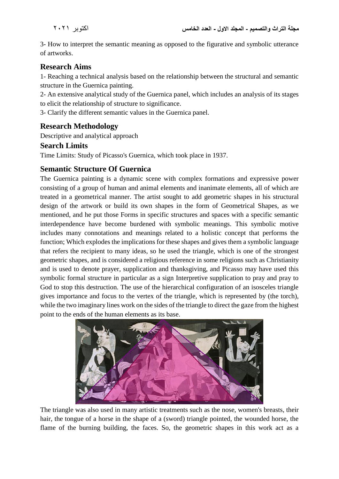3- How to interpret the semantic meaning as opposed to the figurative and symbolic utterance of artworks.

# **Research Aims**

1- Reaching a technical analysis based on the relationship between the structural and semantic structure in the Guernica painting.

2- An extensive analytical study of the Guernica panel, which includes an analysis of its stages to elicit the relationship of structure to significance.

3- Clarify the different semantic values in the Guernica panel.

# **Research Methodology**

Descriptive and analytical approach

#### **Search Limits**

Time Limits: Study of Picasso's Guernica, which took place in 1937.

### **Semantic Structure Of Guernica**

The Guernica painting is a dynamic scene with complex formations and expressive power consisting of a group of human and animal elements and inanimate elements, all of which are treated in a geometrical manner. The artist sought to add geometric shapes in his structural design of the artwork or build its own shapes in the form of Geometrical Shapes, as we mentioned, and he put those Forms in specific structures and spaces with a specific semantic interdependence have become burdened with symbolic meanings. This symbolic motive includes many connotations and meanings related to a holistic concept that performs the function; Which explodes the implications for these shapes and gives them a symbolic language that refers the recipient to many ideas, so he used the triangle, which is one of the strongest geometric shapes, and is considered a religious reference in some religions such as Christianity and is used to denote prayer, supplication and thanksgiving, and Picasso may have used this symbolic formal structure in particular as a sign Interpretive supplication to pray and pray to God to stop this destruction. The use of the hierarchical configuration of an isosceles triangle gives importance and focus to the vertex of the triangle, which is represented by (the torch), while the two imaginary lines work on the sides of the triangle to direct the gaze from the highest point to the ends of the human elements as its base.



The triangle was also used in many artistic treatments such as the nose, women's breasts, their hair, the tongue of a horse in the shape of a (sword) triangle pointed, the wounded horse, the flame of the burning building, the faces. So, the geometric shapes in this work act as a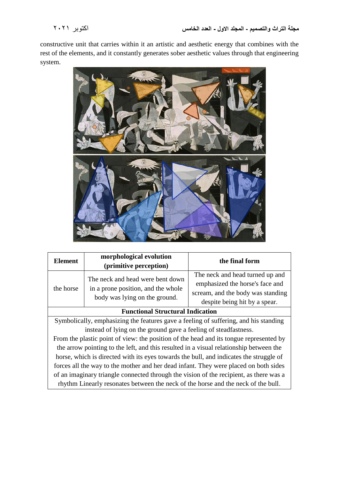constructive unit that carries within it an artistic and aesthetic energy that combines with the rest of the elements, and it constantly generates sober aesthetic values through that engineering system.



| <b>Element</b>                                                                         | morphological evolution<br>(primitive perception)                                                       | the final form                                                                                                                           |  |  |
|----------------------------------------------------------------------------------------|---------------------------------------------------------------------------------------------------------|------------------------------------------------------------------------------------------------------------------------------------------|--|--|
| the horse                                                                              | The neck and head were bent down<br>in a prone position, and the whole<br>body was lying on the ground. | The neck and head turned up and<br>emphasized the horse's face and<br>scream, and the body was standing<br>despite being hit by a spear. |  |  |
| <b>Functional Structural Indication</b>                                                |                                                                                                         |                                                                                                                                          |  |  |
| Symbolically, emphasizing the features gave a feeling of suffering, and his standing   |                                                                                                         |                                                                                                                                          |  |  |
| instead of lying on the ground gave a feeling of steadfastness.                        |                                                                                                         |                                                                                                                                          |  |  |
| From the plastic point of view: the position of the head and its tongue represented by |                                                                                                         |                                                                                                                                          |  |  |
| the arrow pointing to the left, and this resulted in a visual relationship between the |                                                                                                         |                                                                                                                                          |  |  |
| horse, which is directed with its eyes towards the bull, and indicates the struggle of |                                                                                                         |                                                                                                                                          |  |  |
| forces all the way to the mother and her dead infant. They were placed on both sides   |                                                                                                         |                                                                                                                                          |  |  |
| of an imaginary triangle connected through the vision of the recipient, as there was a |                                                                                                         |                                                                                                                                          |  |  |
| rhythm Linearly resonates between the neck of the horse and the neck of the bull.      |                                                                                                         |                                                                                                                                          |  |  |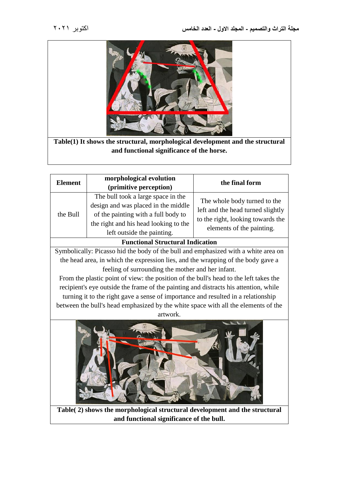

**Table(1) It shows the structural, morphological development and the structural and functional significance of the horse.**

| <b>Element</b>                          | morphological evolution<br>(primitive perception)                                                                                                                                       | the final form                                                                                                                      |  |  |
|-----------------------------------------|-----------------------------------------------------------------------------------------------------------------------------------------------------------------------------------------|-------------------------------------------------------------------------------------------------------------------------------------|--|--|
| the Bull                                | The bull took a large space in the<br>design and was placed in the middle<br>of the painting with a full body to<br>the right and his head looking to the<br>left outside the painting. | The whole body turned to the<br>left and the head turned slightly<br>to the right, looking towards the<br>elements of the painting. |  |  |
| <b>Functional Structural Indication</b> |                                                                                                                                                                                         |                                                                                                                                     |  |  |

Symbolically: Picasso hid the body of the bull and emphasized with a white area on the head area, in which the expression lies, and the wrapping of the body gave a feeling of surrounding the mother and her infant.

From the plastic point of view: the position of the bull's head to the left takes the recipient's eye outside the frame of the painting and distracts his attention, while turning it to the right gave a sense of importance and resulted in a relationship between the bull's head emphasized by the white space with all the elements of the artwork.



**Table( 2) shows the morphological structural development and the structural and functional significance of the bull.**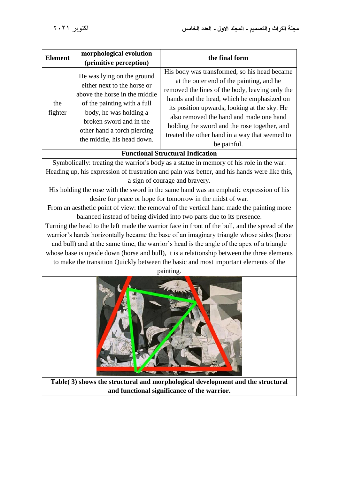| <b>Element</b>                                                                                                                                                                                                                                                                                                                                                                                                                                                                                                                                                                                                                                                                                                                                                                                                                                                                                                                                                                                                                                       | morphological evolution<br>(primitive perception)                                                                                                                                                                                           | the final form                                                                                                                                                                                                                                                                                                                                                                                        |  |  |
|------------------------------------------------------------------------------------------------------------------------------------------------------------------------------------------------------------------------------------------------------------------------------------------------------------------------------------------------------------------------------------------------------------------------------------------------------------------------------------------------------------------------------------------------------------------------------------------------------------------------------------------------------------------------------------------------------------------------------------------------------------------------------------------------------------------------------------------------------------------------------------------------------------------------------------------------------------------------------------------------------------------------------------------------------|---------------------------------------------------------------------------------------------------------------------------------------------------------------------------------------------------------------------------------------------|-------------------------------------------------------------------------------------------------------------------------------------------------------------------------------------------------------------------------------------------------------------------------------------------------------------------------------------------------------------------------------------------------------|--|--|
| the<br>fighter                                                                                                                                                                                                                                                                                                                                                                                                                                                                                                                                                                                                                                                                                                                                                                                                                                                                                                                                                                                                                                       | He was lying on the ground<br>either next to the horse or<br>above the horse in the middle<br>of the painting with a full<br>body, he was holding a<br>broken sword and in the<br>other hand a torch piercing<br>the middle, his head down. | His body was transformed, so his head became<br>at the outer end of the painting, and he<br>removed the lines of the body, leaving only the<br>hands and the head, which he emphasized on<br>its position upwards, looking at the sky. He<br>also removed the hand and made one hand<br>holding the sword and the rose together, and<br>treated the other hand in a way that seemed to<br>be painful. |  |  |
| <b>Functional Structural Indication</b>                                                                                                                                                                                                                                                                                                                                                                                                                                                                                                                                                                                                                                                                                                                                                                                                                                                                                                                                                                                                              |                                                                                                                                                                                                                                             |                                                                                                                                                                                                                                                                                                                                                                                                       |  |  |
| Symbolically: treating the warrior's body as a statue in memory of his role in the war.<br>Heading up, his expression of frustration and pain was better, and his hands were like this,<br>a sign of courage and bravery.<br>His holding the rose with the sword in the same hand was an emphatic expression of his<br>desire for peace or hope for tomorrow in the midst of war.<br>From an aesthetic point of view: the removal of the vertical hand made the painting more<br>balanced instead of being divided into two parts due to its presence.<br>Turning the head to the left made the warrior face in front of the bull, and the spread of the<br>warrior's hands horizontally became the base of an imaginary triangle whose sides (horse<br>and bull) and at the same time, the warrior's head is the angle of the apex of a triangle<br>whose base is upside down (horse and bull), it is a relationship between the three elements<br>to make the transition Quickly between the basic and most important elements of the<br>painting. |                                                                                                                                                                                                                                             |                                                                                                                                                                                                                                                                                                                                                                                                       |  |  |
|                                                                                                                                                                                                                                                                                                                                                                                                                                                                                                                                                                                                                                                                                                                                                                                                                                                                                                                                                                                                                                                      |                                                                                                                                                                                                                                             |                                                                                                                                                                                                                                                                                                                                                                                                       |  |  |

**Table( 3) shows the structural and morphological development and the structural and functional significance of the warrior.**

**SALE AND CARD OF ALS** 

**194**